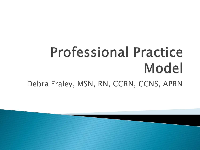## **Professional Practice** Model Debra Fraley, MSN, RN, CCRN, CCNS, APRN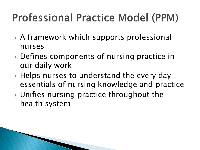#### **Professional Practice Model (PPM)**

- A framework which supports professional nurses
- Defines components of nursing practice in our daily work
- ▶ Helps nurses to understand the every day essentials of nursing knowledge and practice
- Unifies nursing practice throughout the health system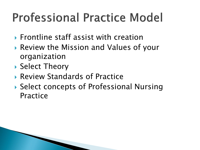## **Professional Practice Model**

- $\triangleright$  Frontline staff assist with creation
- Review the Mission and Values of your organization
- ▶ Select Theory
- Review Standards of Practice
- ▶ Select concepts of Professional Nursing Practice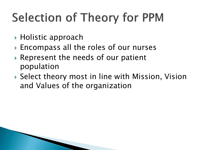# **Selection of Theory for PPM**

- ▶ Holistic approach
- ▶ Encompass all the roles of our nurses
- Represent the needs of our patient population
- ▶ Select theory most in line with Mission, Vision and Values of the organization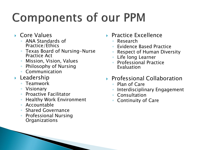# **Components of our PPM**

- ▶ Core Values
	- ANA Standards of Practice/Ethics
	- Texas Board of Nursing-Nurse Practice Act
	- Mission, Vision, Values
	- Philosophy of Nursing
	- Communication
- **Leadership** 
	- Teamwork
	- Visionary
	- Proactive Facilitator
	- Healthy Work Environment
	- Accountable
	- Shared Governance
	- Professional Nursing **Organizations**
- **Practice Excellence** 
	- Research
	- Evidence Based Practice
	- Respect of Human Diversity
	- Life long Learner
	- Professional Practice Evaluation
- ▶ Professional Collaboration
	- Plan of Care
	- Interdisciplinary Engagement
	- Consultation
	- Continuity of Care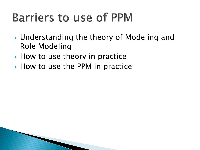### **Barriers to use of PPM**

- ▶ Understanding the theory of Modeling and Role Modeling
- $\blacktriangleright$  How to use theory in practice
- ▶ How to use the PPM in practice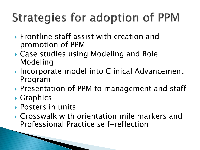## **Strategies for adoption of PPM**

- $\triangleright$  Frontline staff assist with creation and promotion of PPM
- ▶ Case studies using Modeling and Role Modeling
- ▶ Incorporate model into Clinical Advancement Program
- ▶ Presentation of PPM to management and staff
- **▶ Graphics**
- Posters in units
- Crosswalk with orientation mile markers and Professional Practice self-reflection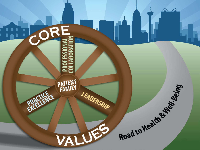